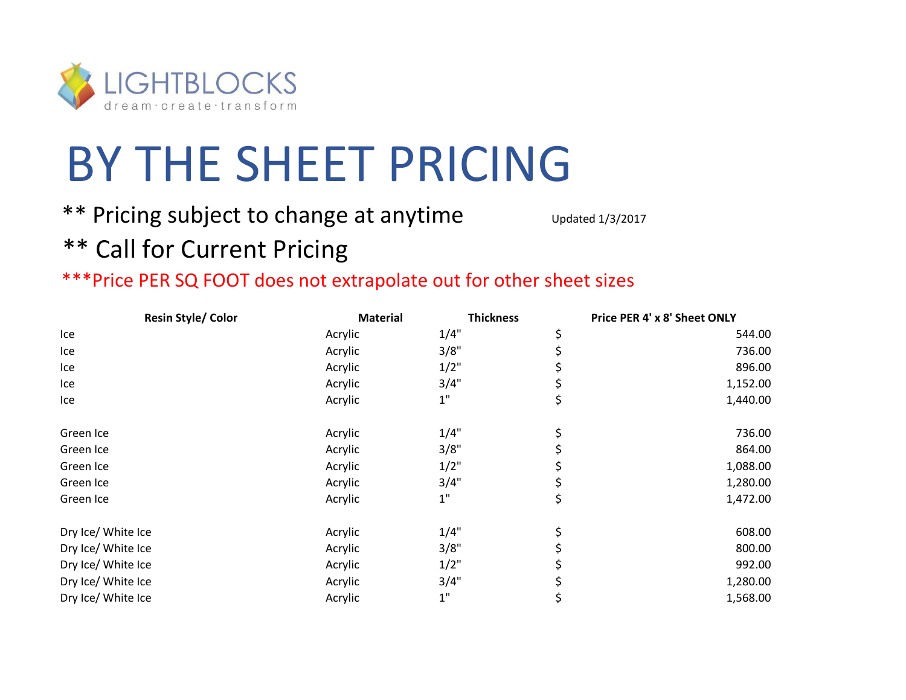

## BY THE SHEET PRICING

## \*\* Pricing subject to change at anytime Updated 1/3/2017

## \*\* Call for Current Pricing

## \*\*\*Price PER SQ FOOT does not extrapolate out for other sheet sizes

| <b>Resin Style/ Color</b> |  | <b>Material</b> | <b>Thickness</b> | Price PER 4' x 8' Sheet ONLY |  |
|---------------------------|--|-----------------|------------------|------------------------------|--|
| Ice                       |  | Acrylic         | 1/4"             | 544.00                       |  |
| Ice                       |  | Acrylic         | 3/8"             | 736.00                       |  |
| Ice                       |  | Acrylic         | 1/2"             | 896.00                       |  |
| Ice                       |  | Acrylic         | 3/4"             | 1,152.00                     |  |
| Ice                       |  | Acrylic         | $1"$             | \$<br>1,440.00               |  |
| Green Ice                 |  | Acrylic         | 1/4"             | \$<br>736.00                 |  |
| Green Ice                 |  | Acrylic         | 3/8"             | 864.00                       |  |
| Green Ice                 |  | Acrylic         | $1/2$ "          | 1,088.00                     |  |
| Green Ice                 |  | Acrylic         | 3/4"             | 1,280.00                     |  |
| Green Ice                 |  | Acrylic         | $1\mathrm{''}$   | \$<br>1,472.00               |  |
| Dry Ice/ White Ice        |  | Acrylic         | 1/4"             | 608.00                       |  |
| Dry Ice/ White Ice        |  | Acrylic         | 3/8"             | 800.00                       |  |
| Dry Ice/ White Ice        |  | Acrylic         | 1/2"             | 992.00                       |  |
| Dry Ice/ White Ice        |  | Acrylic         | 3/4"             | 1,280.00                     |  |
| Dry Ice/ White Ice        |  | Acrylic         | $1"$             | 1,568.00                     |  |